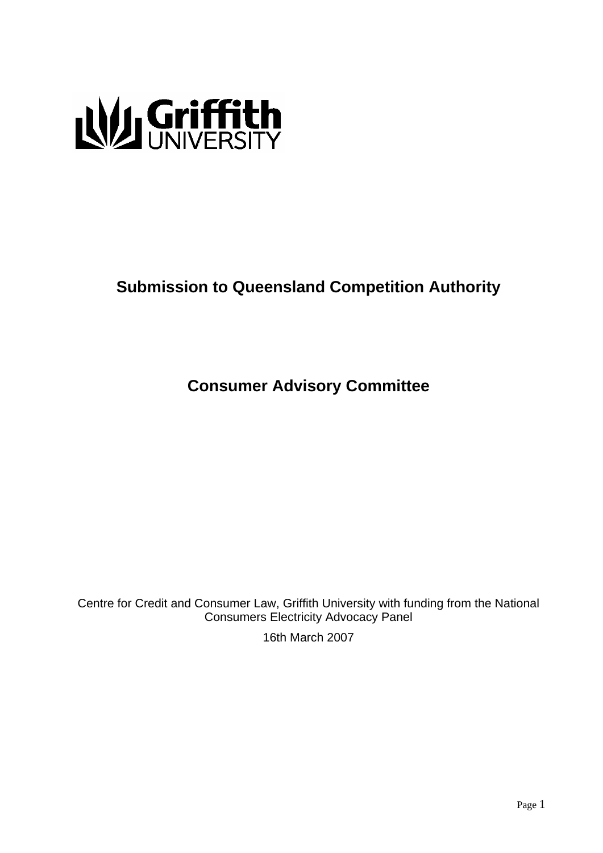

# **Submission to Queensland Competition Authority**

**Consumer Advisory Committee** 

Centre for Credit and Consumer Law, Griffith University with funding from the National Consumers Electricity Advocacy Panel

16th March 2007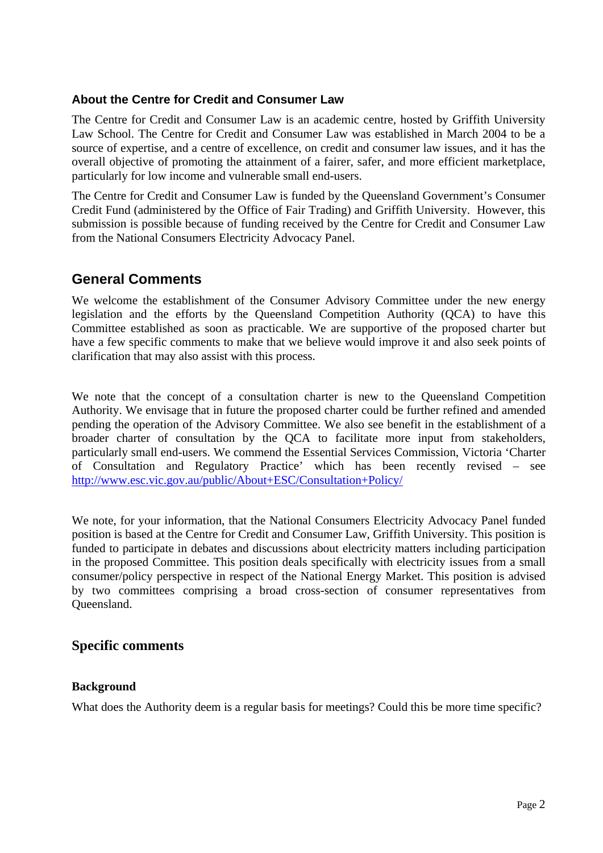## **About the Centre for Credit and Consumer Law**

The Centre for Credit and Consumer Law is an academic centre, hosted by Griffith University Law School. The Centre for Credit and Consumer Law was established in March 2004 to be a source of expertise, and a centre of excellence, on credit and consumer law issues, and it has the overall objective of promoting the attainment of a fairer, safer, and more efficient marketplace, particularly for low income and vulnerable small end-users.

The Centre for Credit and Consumer Law is funded by the Queensland Government's Consumer Credit Fund (administered by the Office of Fair Trading) and Griffith University. However, this submission is possible because of funding received by the Centre for Credit and Consumer Law from the National Consumers Electricity Advocacy Panel.

# **General Comments**

We welcome the establishment of the Consumer Advisory Committee under the new energy legislation and the efforts by the Queensland Competition Authority (QCA) to have this Committee established as soon as practicable. We are supportive of the proposed charter but have a few specific comments to make that we believe would improve it and also seek points of clarification that may also assist with this process.

We note that the concept of a consultation charter is new to the Queensland Competition Authority. We envisage that in future the proposed charter could be further refined and amended pending the operation of the Advisory Committee. We also see benefit in the establishment of a broader charter of consultation by the QCA to facilitate more input from stakeholders, particularly small end-users. We commend the Essential Services Commission, Victoria 'Charter of Consultation and Regulatory Practice' which has been recently revised – see http://www.esc.vic.gov.au/public/About+ESC/Consultation+Policy/

We note, for your information, that the National Consumers Electricity Advocacy Panel funded position is based at the Centre for Credit and Consumer Law, Griffith University. This position is funded to participate in debates and discussions about electricity matters including participation in the proposed Committee. This position deals specifically with electricity issues from a small consumer/policy perspective in respect of the National Energy Market. This position is advised by two committees comprising a broad cross-section of consumer representatives from Queensland.

# **Specific comments**

### **Background**

What does the Authority deem is a regular basis for meetings? Could this be more time specific?